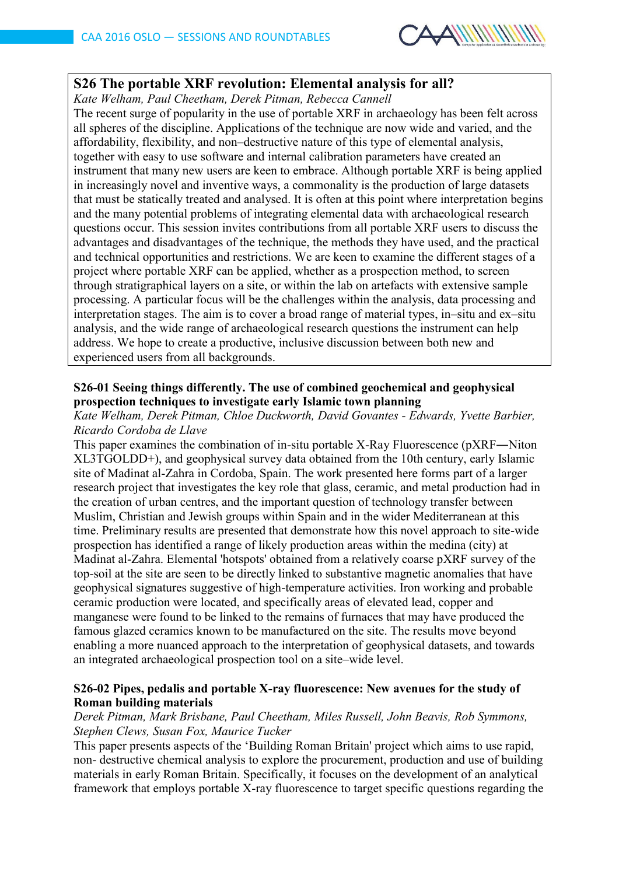

# **S26 The portable XRF revolution: Elemental analysis for all?**

*Kate Welham, Paul Cheetham, Derek Pitman, Rebecca Cannell*

The recent surge of popularity in the use of portable XRF in archaeology has been felt across all spheres of the discipline. Applications of the technique are now wide and varied, and the affordability, flexibility, and non–destructive nature of this type of elemental analysis, together with easy to use software and internal calibration parameters have created an instrument that many new users are keen to embrace. Although portable XRF is being applied in increasingly novel and inventive ways, a commonality is the production of large datasets that must be statically treated and analysed. It is often at this point where interpretation begins and the many potential problems of integrating elemental data with archaeological research questions occur. This session invites contributions from all portable XRF users to discuss the advantages and disadvantages of the technique, the methods they have used, and the practical and technical opportunities and restrictions. We are keen to examine the different stages of a project where portable XRF can be applied, whether as a prospection method, to screen through stratigraphical layers on a site, or within the lab on artefacts with extensive sample processing. A particular focus will be the challenges within the analysis, data processing and interpretation stages. The aim is to cover a broad range of material types, in–situ and ex–situ analysis, and the wide range of archaeological research questions the instrument can help address. We hope to create a productive, inclusive discussion between both new and experienced users from all backgrounds.

### **S26-01 Seeing things differently. The use of combined geochemical and geophysical prospection techniques to investigate early Islamic town planning**

*Kate Welham, Derek Pitman, Chloe Duckworth, David Govantes - Edwards, Yvette Barbier, Ricardo Cordoba de Llave*

This paper examines the combination of in-situ portable X-Ray Fluorescence (pXRF―Niton XL3TGOLDD+), and geophysical survey data obtained from the 10th century, early Islamic site of Madinat al-Zahra in Cordoba, Spain. The work presented here forms part of a larger research project that investigates the key role that glass, ceramic, and metal production had in the creation of urban centres, and the important question of technology transfer between Muslim, Christian and Jewish groups within Spain and in the wider Mediterranean at this time. Preliminary results are presented that demonstrate how this novel approach to site-wide prospection has identified a range of likely production areas within the medina (city) at Madinat al-Zahra. Elemental 'hotspots' obtained from a relatively coarse pXRF survey of the top-soil at the site are seen to be directly linked to substantive magnetic anomalies that have geophysical signatures suggestive of high-temperature activities. Iron working and probable ceramic production were located, and specifically areas of elevated lead, copper and manganese were found to be linked to the remains of furnaces that may have produced the famous glazed ceramics known to be manufactured on the site. The results move beyond enabling a more nuanced approach to the interpretation of geophysical datasets, and towards an integrated archaeological prospection tool on a site–wide level.

## **S26-02 Pipes, pedalis and portable X-ray fluorescence: New avenues for the study of Roman building materials**

#### *Derek Pitman, Mark Brisbane, Paul Cheetham, Miles Russell, John Beavis, Rob Symmons, Stephen Clews, Susan Fox, Maurice Tucker*

This paper presents aspects of the 'Building Roman Britain' project which aims to use rapid, non- destructive chemical analysis to explore the procurement, production and use of building materials in early Roman Britain. Specifically, it focuses on the development of an analytical framework that employs portable X-ray fluorescence to target specific questions regarding the